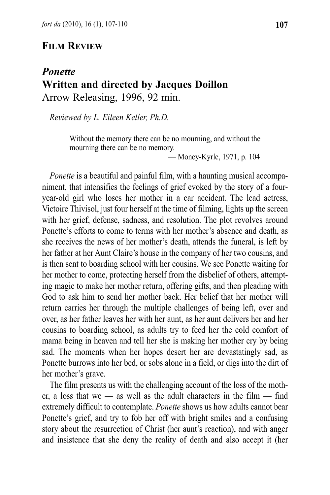## **Film reView**

## *Ponette* **written and directed by Jacques doillon** Arrow Releasing, 1996, 92 min.

*Reviewed by L. Eileen Keller, Ph.D.*

Without the memory there can be no mourning, and without the mourning there can be no memory. — Money-Kyrle, 1971, p. 104

*Ponette* is a beautiful and painful film, with a haunting musical accompaniment, that intensifies the feelings of grief evoked by the story of a fouryear-old girl who loses her mother in a car accident. The lead actress, victoire Thivisol, just four herself at the time of filming, lights up the screen with her grief, defense, sadness, and resolution. The plot revolves around Ponette's efforts to come to terms with her mother's absence and death, as she receives the news of her mother's death, attends the funeral, is left by her father at her Aunt Claire's house in the company of her two cousins, and is then sent to boarding school with her cousins. We see Ponette waiting for her mother to come, protecting herself from the disbelief of others, attempting magic to make her mother return, offering gifts, and then pleading with God to ask him to send her mother back. Her belief that her mother will return carries her through the multiple challenges of being left, over and over, as her father leaves her with her aunt, as her aunt delivers her and her cousins to boarding school, as adults try to feed her the cold comfort of mama being in heaven and tell her she is making her mother cry by being sad. The moments when her hopes desert her are devastatingly sad, as Ponette burrows into her bed, or sobs alone in a field, or digs into the dirt of her mother's grave.

The film presents us with the challenging account of the loss of the mother, a loss that we — as well as the adult characters in the film — find extremely difficult to contemplate. *Ponette* shows us how adults cannot bear Ponette's grief, and try to fob her off with bright smiles and a confusing story about the resurrection of Christ (her aunt's reaction), and with anger and insistence that she deny the reality of death and also accept it (her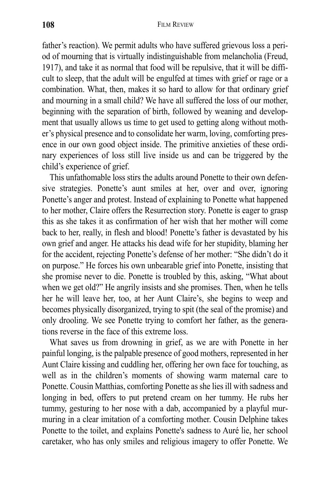father's reaction). We permit adults who have suffered grievous loss a period of mourning that is virtually indistinguishable from melancholia (Freud, 1917), and take it as normal that food will be repulsive, that it will be difficult to sleep, that the adult will be engulfed at times with grief or rage or a combination. What, then, makes it so hard to allow for that ordinary grief and mourning in a small child? We have all suffered the loss of our mother, beginning with the separation of birth, followed by weaning and development that usually allows us time to get used to getting along without mother's physical presence and to consolidate her warm, loving, comforting presence in our own good object inside. The primitive anxieties of these ordinary experiences of loss still live inside us and can be triggered by the child's experience of grief.

This unfathomable loss stirs the adults around Ponette to their own defensive strategies. Ponette's aunt smiles at her, over and over, ignoring Ponette's anger and protest. instead of explaining to Ponette what happened to her mother, Claire offers the Resurrection story. Ponette is eager to grasp this as she takes it as confirmation of her wish that her mother will come back to her, really, in flesh and blood! Ponette's father is devastated by his own grief and anger. He attacks his dead wife for her stupidity, blaming her for the accident, rejecting Ponette's defense of her mother: "She didn't do it on purpose." He forces his own unbearable grief into Ponette, insisting that she promise never to die. Ponette is troubled by this, asking, "What about when we get old?" He angrily insists and she promises. Then, when he tells her he will leave her, too, at her Aunt Claire's, she begins to weep and becomes physically disorganized, trying to spit (the seal of the promise) and only drooling. We see Ponette trying to comfort her father, as the generations reverse in the face of this extreme loss.

What saves us from drowning in grief, as we are with Ponette in her painful longing, is the palpable presence of good mothers, represented in her Aunt Claire kissing and cuddling her, offering her own face for touching, as well as in the children's moments of showing warm maternal care to Ponette. Cousin Matthias, comforting Ponette as she lies ill with sadness and longing in bed, offers to put pretend cream on her tummy. He rubs her tummy, gesturing to her nose with a dab, accompanied by a playful murmuring in a clear imitation of a comforting mother. Cousin Delphine takes Ponette to the toilet, and explains Ponette's sadness to Auré lie, her school caretaker, who has only smiles and religious imagery to offer Ponette. We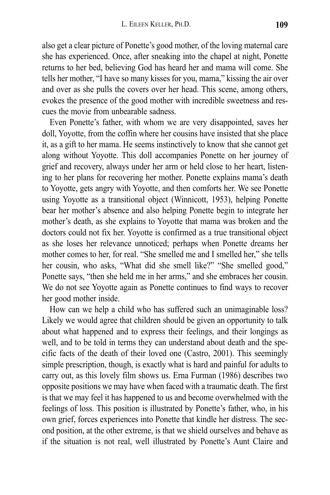also get a clear picture of Ponette's good mother, of the loving maternal care she has experienced. Once, after sneaking into the chapel at night, Ponette returns to her bed, believing God has heard her and mama will come. She tells her mother, "I have so many kisses for you, mama," kissing the air over and over as she pulls the covers over her head. This scene, among others, evokes the presence of the good mother with incredible sweetness and rescues the movie from unbearable sadness.

Even Ponette's father, with whom we are very disappointed, saves her doll, yoyotte, from the coffin where her cousins have insisted that she place it, as a gift to her mama. He seems instinctively to know that she cannot get along without yoyotte. This doll accompanies Ponette on her journey of grief and recovery, always under her arm or held close to her heart, listening to her plans for recovering her mother. Ponette explains mama's death to yoyotte, gets angry with yoyotte, and then comforts her. We see Ponette using yoyotte as a transitional object (Winnicott, 1953), helping Ponette bear her mother's absence and also helping Ponette begin to integrate her mother's death, as she explains to Yoyotte that mama was broken and the doctors could not fix her. yoyotte is confirmed as a true transitional object as she loses her relevance unnoticed; perhaps when Ponette dreams her mother comes to her, for real. "She smelled me and I smelled her," she tells her cousin, who asks, "What did she smell like?" "She smelled good," Ponette says, "then she held me in her arms," and she embraces her cousin. We do not see yoyotte again as Ponette continues to find ways to recover her good mother inside.

How can we help a child who has suffered such an unimaginable loss? Likely we would agree that children should be given an opportunity to talk about what happened and to express their feelings, and their longings as well, and to be told in terms they can understand about death and the specific facts of the death of their loved one (Castro, 2001). This seemingly simple prescription, though, is exactly what is hard and painful for adults to carry out, as this lovely film shows us. Erna Furman (1986) describes two opposite positions we may have when faced with a traumatic death. The first is that we may feel it has happened to us and become overwhelmed with the feelings of loss. This position is illustrated by Ponette's father, who, in his own grief, forces experiences into Ponette that kindle her distress. The second position, at the other extreme, is that we shield ourselves and behave as if the situation is not real, well illustrated by Ponette's Aunt Claire and